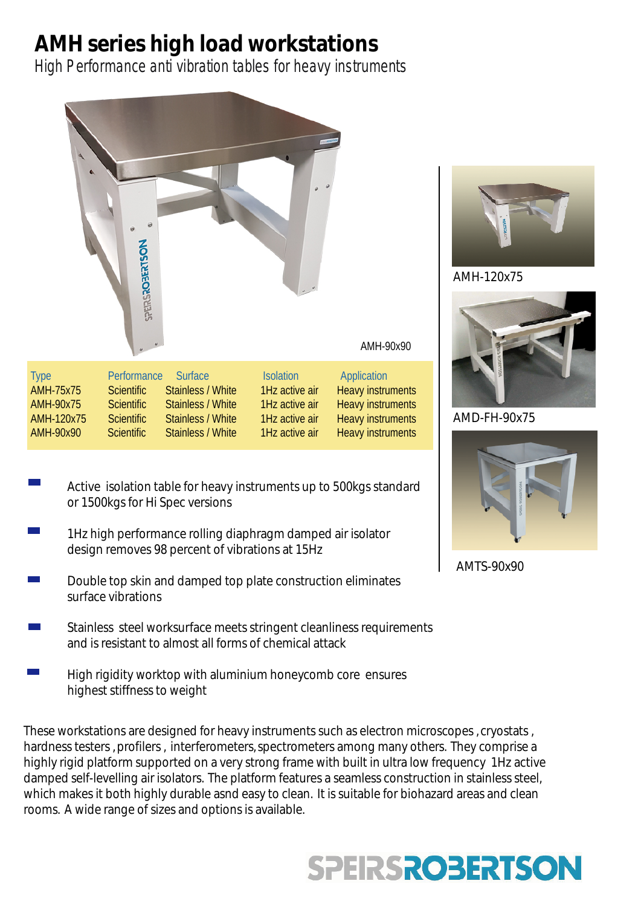## **AMH series high load workstations**

High Performance anti vibration tables for heavy instruments





AMH-120x75



AMD-FH-90x75



```
AMTS-90x90
```
Active isolation table for heavy instruments up to 500kgs standard or 1500kgs for Hi Spec versions

- 1Hz high performance rolling diaphragm damped air isolator design removes 98 percent of vibrations at 15Hz
- Double top skin and damped top plate construction eliminates surface vibrations
- Stainless steel worksurface meets stringent cleanliness requirements and is resistant to almost all forms of chemical attack
- High rigidity worktop with aluminium honeycomb core ensures highest stiffness to weight

These workstations are designed for heavy instruments such as electron microscopes , cryostats , hardness testers, profilers, interferometers, spectrometers among many others. They comprise a highly rigid platform supported on a very strong frame with built in ultra low frequency 1Hz active damped self-levelling air isolators. The platform features a seamless construction in stainless steel, which makes it both highly durable asnd easy to clean. It is suitable for biohazard areas and clean rooms. A wide range of sizes and options is available.